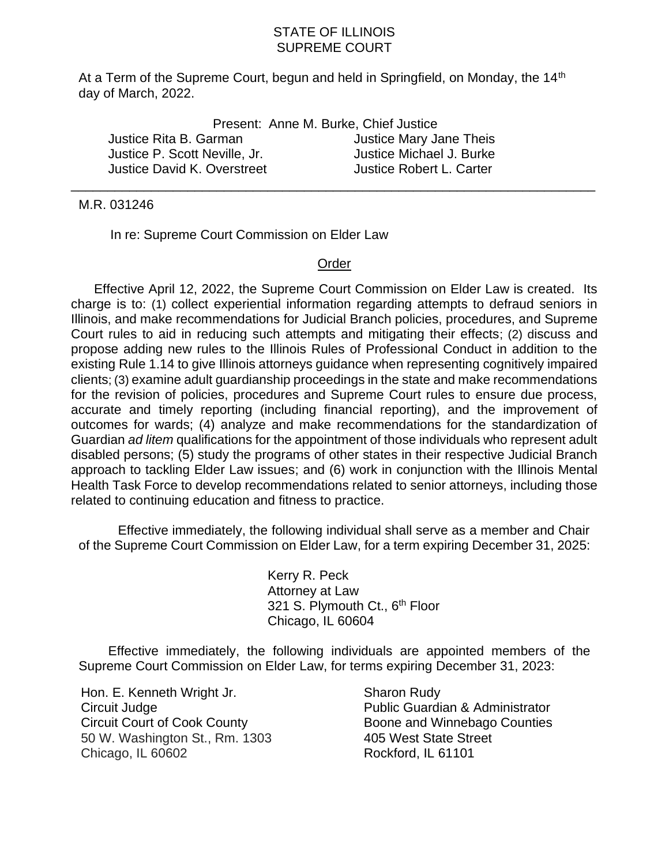## STATE OF ILLINOIS SUPREME COURT

At a Term of the Supreme Court, begun and held in Springfield, on Monday, the 14<sup>th</sup> day of March, 2022.

|                               | Present: Anne M. Burke, Chief Justice |
|-------------------------------|---------------------------------------|
| Justice Rita B. Garman        | Justice Mary Jane Theis               |
| Justice P. Scott Neville, Jr. | Justice Michael J. Burke              |
| Justice David K. Overstreet   | Justice Robert L. Carter              |

## M.R. 031246

In re: Supreme Court Commission on Elder Law

## Order

\_\_\_\_\_\_\_\_\_\_\_\_\_\_\_\_\_\_\_\_\_\_\_\_\_\_\_\_\_\_\_\_\_\_\_\_\_\_\_\_\_\_\_\_\_\_\_\_\_\_\_\_\_\_\_\_\_\_\_\_\_\_\_\_\_\_\_\_\_\_\_\_

Effective April 12, 2022, the Supreme Court Commission on Elder Law is created. Its charge is to: (1) collect experiential information regarding attempts to defraud seniors in Illinois, and make recommendations for Judicial Branch policies, procedures, and Supreme Court rules to aid in reducing such attempts and mitigating their effects; (2) discuss and propose adding new rules to the Illinois Rules of Professional Conduct in addition to the existing Rule 1.14 to give Illinois attorneys guidance when representing cognitively impaired clients; (3) examine adult guardianship proceedings in the state and make recommendations for the revision of policies, procedures and Supreme Court rules to ensure due process, accurate and timely reporting (including financial reporting), and the improvement of outcomes for wards; (4) analyze and make recommendations for the standardization of Guardian *ad litem* qualifications for the appointment of those individuals who represent adult disabled persons; (5) study the programs of other states in their respective Judicial Branch approach to tackling Elder Law issues; and (6) work in conjunction with the Illinois Mental Health Task Force to develop recommendations related to senior attorneys, including those related to continuing education and fitness to practice.

Effective immediately, the following individual shall serve as a member and Chair of the Supreme Court Commission on Elder Law, for a term expiring December 31, 2025:

> Kerry R. Peck Attorney at Law 321 S. Plymouth Ct., 6<sup>th</sup> Floor Chicago, IL 60604

Effective immediately, the following individuals are appointed members of the Supreme Court Commission on Elder Law, for terms expiring December 31, 2023:

Hon. E. Kenneth Wright Jr. Circuit Judge Circuit Court of Cook County 50 W. Washington St., Rm. 1303 Chicago, IL 60602

Sharon Rudy Public Guardian & Administrator Boone and Winnebago Counties 405 West State Street Rockford, IL 61101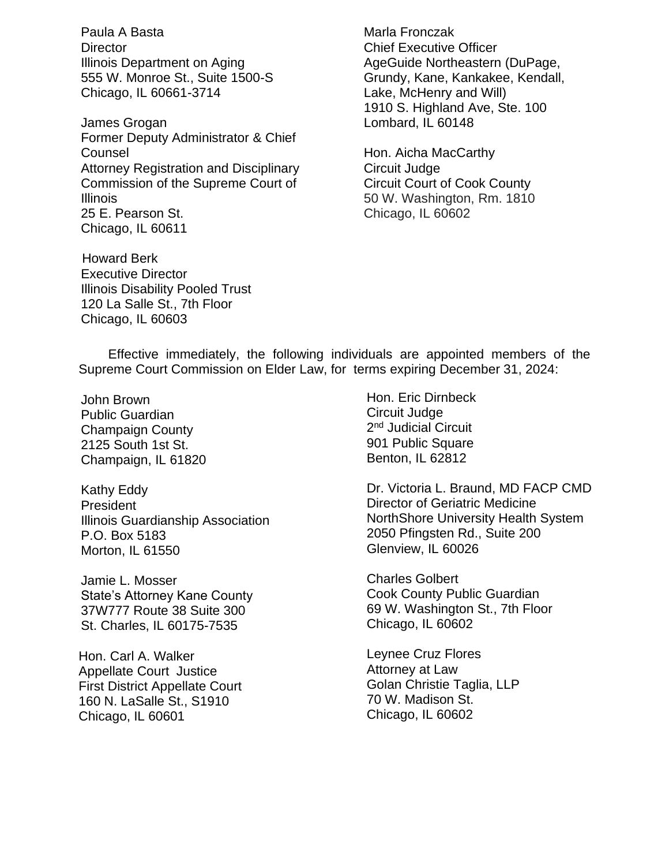Paula A Basta **Director** Illinois Department on Aging 555 W. Monroe St., Suite 1500-S Chicago, IL 60661-3714

James Grogan Former Deputy Administrator & Chief Counsel Attorney Registration and Disciplinary Commission of the Supreme Court of Illinois 25 E. Pearson St. Chicago, IL 60611

 Howard Berk Executive Director Illinois Disability Pooled Trust 120 La Salle St., 7th Floor Chicago, IL 60603

Marla Fronczak Chief Executive Officer AgeGuide Northeastern (DuPage, Grundy, Kane, Kankakee, Kendall, Lake, McHenry and Will) 1910 S. Highland Ave, Ste. 100 Lombard, IL 60148

Hon. Aicha MacCarthy Circuit Judge Circuit Court of Cook County 50 W. Washington, Rm. 1810 Chicago, IL 60602

Effective immediately, the following individuals are appointed members of the Supreme Court Commission on Elder Law, for terms expiring December 31, 2024:

John Brown Public Guardian Champaign County 2125 South 1st St. Champaign, IL 61820

Kathy Eddy President Illinois Guardianship Association P.O. Box 5183 Morton, IL 61550

Jamie L. Mosser State's Attorney Kane County 37W777 Route 38 Suite 300 St. Charles, IL 60175-7535

Hon. Carl A. Walker Appellate Court Justice First District Appellate Court 160 N. LaSalle St., S1910 Chicago, IL 60601

Hon. Eric Dirnbeck Circuit Judge 2<sup>nd</sup> Judicial Circuit 901 Public Square Benton, IL 62812

Dr. Victoria L. Braund, MD FACP CMD Director of Geriatric Medicine NorthShore University Health System 2050 Pfingsten Rd., Suite 200 Glenview, IL 60026

Charles Golbert Cook County Public Guardian 69 W. Washington St., 7th Floor Chicago, IL 60602

Leynee Cruz Flores Attorney at Law Golan Christie Taglia, LLP 70 W. Madison St. Chicago, IL 60602